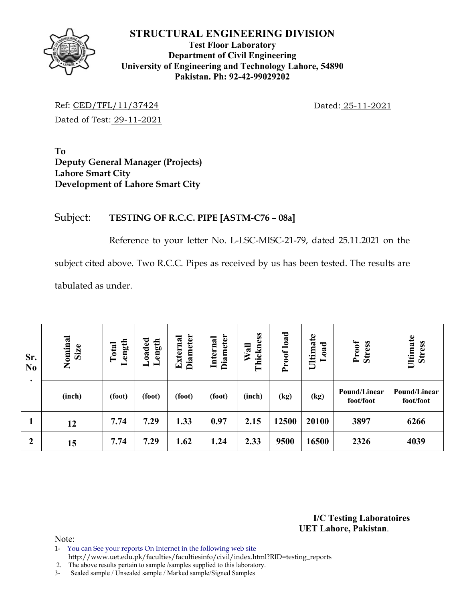### **STRUCTURAL ENGINEERING DIVISION**



**Test Floor Laboratory Department of Civil Engineering University of Engineering and Technology Lahore, 54890 Pakistan. Ph: 92-42-99029202** 

Ref: CED/TFL/11/37424 Dated: 25-11-2021 Dated of Test: 29-11-2021

**To Deputy General Manager (Projects) Lahore Smart City Development of Lahore Smart City** 

# Subject: **TESTING OF R.C.C. PIPE [ASTM-C76 – 08a]**

Reference to your letter No. L-LSC-MISC-21-79, dated 25.11.2021 on the

subject cited above. Two R.C.C. Pipes as received by us has been tested. The results are

tabulated as under.

| Sr.<br>N <sub>0</sub><br>$\bullet$ | Nominal<br>Size | ength<br>Total<br>┙ | Loaded<br>Length | <b>Diameter</b><br>External | Diameter<br>Internal | hickness<br>Wall<br>۳ | Proof load | Ultimate<br>oad | Proof<br><b>Stress</b>    | Ultimate<br><b>Stress</b> |
|------------------------------------|-----------------|---------------------|------------------|-----------------------------|----------------------|-----------------------|------------|-----------------|---------------------------|---------------------------|
|                                    | (inch)          | (foot)              | (foot)           | (foot)                      | (foot)               | (inch)                | (kg)       | (kg)            | Pound/Linear<br>foot/foot | Pound/Linear<br>foot/foot |
|                                    | 12              | 7.74                | 7.29             | 1.33                        | 0.97                 | 2.15                  | 12500      | 20100           | 3897                      | 6266                      |
| $\boldsymbol{2}$                   | 15              | 7.74                | 7.29             | 1.62                        | 1.24                 | 2.33                  | 9500       | 16500           | 2326                      | 4039                      |

**I/C Testing Laboratoires UET Lahore, Pakistan**.

Note:

- 1- You can See your reports On Internet in the following web site http://www.uet.edu.pk/faculties/facultiesinfo/civil/index.html?RID=testing\_reports
- 2. The above results pertain to sample /samples supplied to this laboratory.
- 3- Sealed sample / Unsealed sample / Marked sample/Signed Samples